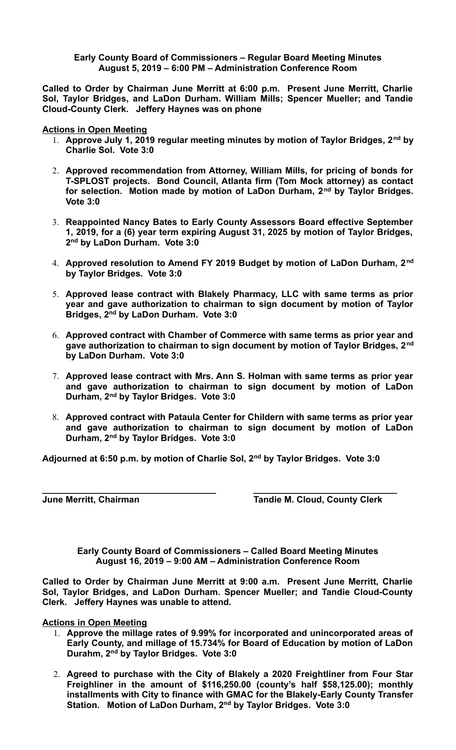## **Early County Board of Commissioners – Regular Board Meeting Minutes August 5, 2019 – 6:00 PM – Administration Conference Room**

**Called to Order by Chairman June Merritt at 6:00 p.m. Present June Merritt, Charlie Sol, Taylor Bridges, and LaDon Durham. William Mills; Spencer Mueller; and Tandie Cloud-County Clerk. Jeffery Haynes was on phone**

**Actions in Open Meeting**

- 1. **Approve July 1, 2019 regular meeting minutes by motion of Taylor Bridges, 2nd by Charlie Sol. Vote 3:0**
- 2. **Approved recommendation from Attorney, William Mills, for pricing of bonds for T-SPLOST projects. Bond Council, Atlanta firm (Tom Mock attorney) as contact for selection. Motion made by motion of LaDon Durham, 2nd by Taylor Bridges. Vote 3:0**
- 3. **Reappointed Nancy Bates to Early County Assessors Board effective September 1, 2019, for a (6) year term expiring August 31, 2025 by motion of Taylor Bridges, 2 nd by LaDon Durham. Vote 3:0**
- 4. **Approved resolution to Amend FY 2019 Budget by motion of LaDon Durham, 2nd by Taylor Bridges. Vote 3:0**
- 5. **Approved lease contract with Blakely Pharmacy, LLC with same terms as prior year and gave authorization to chairman to sign document by motion of Taylor Bridges, 2nd by LaDon Durham. Vote 3:0**
- 6. **Approved contract with Chamber of Commerce with same terms as prior year and gave authorization to chairman to sign document by motion of Taylor Bridges, 2nd by LaDon Durham. Vote 3:0**
- 7. **Approved lease contract with Mrs. Ann S. Holman with same terms as prior year and gave authorization to chairman to sign document by motion of LaDon Durham, 2nd by Taylor Bridges. Vote 3:0**
- 8. **Approved contract with Pataula Center for Childern with same terms as prior year and gave authorization to chairman to sign document by motion of LaDon Durham, 2nd by Taylor Bridges. Vote 3:0**

**Adjourned at 6:50 p.m. by motion of Charlie Sol, 2nd by Taylor Bridges. Vote 3:0**

**\_\_\_\_\_\_\_\_\_\_\_\_\_\_\_\_\_\_\_\_\_\_\_\_\_\_\_\_\_\_\_\_\_\_\_ \_\_\_\_\_\_\_\_\_\_\_\_\_\_\_\_\_\_\_\_\_\_\_\_\_\_\_\_\_ June Merritt, Chairman Tandie M. Cloud, County Clerk**

**Early County Board of Commissioners – Called Board Meeting Minutes August 16, 2019 – 9:00 AM – Administration Conference Room**

**Called to Order by Chairman June Merritt at 9:00 a.m. Present June Merritt, Charlie Sol, Taylor Bridges, and LaDon Durham. Spencer Mueller; and Tandie Cloud-County Clerk. Jeffery Haynes was unable to attend.**

**Actions in Open Meeting**

- 1. **Approve the millage rates of 9.99% for incorporated and unincorporated areas of Early County, and millage of 15.734% for Board of Education by motion of LaDon Durahm, 2nd by Taylor Bridges. Vote 3:0**
- 2. **Agreed to purchase with the City of Blakely a 2020 Freightliner from Four Star Freighliner in the amount of \$116,250.00 (county's half \$58,125.00); monthly installments with City to finance with GMAC for the Blakely-Early County Transfer Station. Motion of LaDon Durham, 2nd by Taylor Bridges. Vote 3:0**